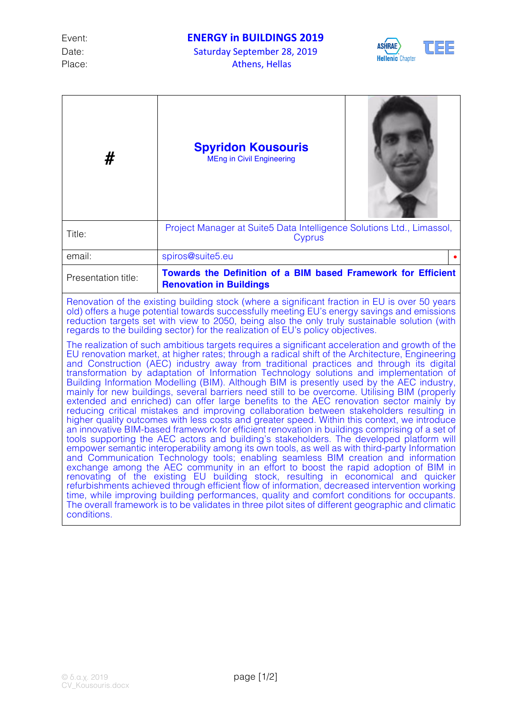Date: Saturday September 28, 2019 Place: Athens, Hellas



| #                                                                                                                                                                                                                                                                                                                                                                                                                                                                                                                                                                                                                                                                                                                                                                                                                                                                                                                                                                                                                                                                                                                                                                                                                                                                                                                                                                                                                                                                                                                                                                                                                                                              | <b>Spyridon Kousouris</b><br><b>MEng in Civil Engineering</b>                                   |  |
|----------------------------------------------------------------------------------------------------------------------------------------------------------------------------------------------------------------------------------------------------------------------------------------------------------------------------------------------------------------------------------------------------------------------------------------------------------------------------------------------------------------------------------------------------------------------------------------------------------------------------------------------------------------------------------------------------------------------------------------------------------------------------------------------------------------------------------------------------------------------------------------------------------------------------------------------------------------------------------------------------------------------------------------------------------------------------------------------------------------------------------------------------------------------------------------------------------------------------------------------------------------------------------------------------------------------------------------------------------------------------------------------------------------------------------------------------------------------------------------------------------------------------------------------------------------------------------------------------------------------------------------------------------------|-------------------------------------------------------------------------------------------------|--|
| Title:                                                                                                                                                                                                                                                                                                                                                                                                                                                                                                                                                                                                                                                                                                                                                                                                                                                                                                                                                                                                                                                                                                                                                                                                                                                                                                                                                                                                                                                                                                                                                                                                                                                         | Project Manager at Suite5 Data Intelligence Solutions Ltd., Limassol,<br>Cyprus                 |  |
| email:                                                                                                                                                                                                                                                                                                                                                                                                                                                                                                                                                                                                                                                                                                                                                                                                                                                                                                                                                                                                                                                                                                                                                                                                                                                                                                                                                                                                                                                                                                                                                                                                                                                         | spiros@suite5.eu                                                                                |  |
| Presentation title:                                                                                                                                                                                                                                                                                                                                                                                                                                                                                                                                                                                                                                                                                                                                                                                                                                                                                                                                                                                                                                                                                                                                                                                                                                                                                                                                                                                                                                                                                                                                                                                                                                            | Towards the Definition of a BIM based Framework for Efficient<br><b>Renovation in Buildings</b> |  |
| Renovation of the existing building stock (where a significant fraction in EU is over 50 years<br>old) offers a huge potential towards successfully meeting EU's energy savings and emissions<br>reduction targets set with view to 2050, being also the only truly sustainable solution (with<br>regards to the building sector) for the realization of EU's policy objectives.<br>The realization of such ambitious targets requires a significant acceleration and growth of the                                                                                                                                                                                                                                                                                                                                                                                                                                                                                                                                                                                                                                                                                                                                                                                                                                                                                                                                                                                                                                                                                                                                                                            |                                                                                                 |  |
| EU renovation market, at higher rates; through a radical shift of the Architecture, Engineering<br>and Construction (AEC) industry away from traditional practices and through its digital<br>transformation by adaptation of Information Technology solutions and implementation of<br>Building Information Modelling (BIM). Although BIM is presently used by the AEC industry,<br>mainly for new buildings, several barriers need still to be overcome. Utilising BIM (properly<br>extended and enriched) can offer large benefits to the AEC renovation sector mainly by<br>reducing critical mistakes and improving collaboration between stakeholders resulting in<br>higher quality outcomes with less costs and greater speed. Within this context, we introduce<br>an innovative BIM-based framework for efficient renovation in buildings comprising of a set of<br>tools supporting the AEC actors and building's stakeholders. The developed platform will<br>empower semantic interoperability among its own tools, as well as with third-party Information<br>and Communication Technology tools; enabling seamless BIM creation and information<br>exchange among the AEC community in an effort to boost the rapid adoption of BIM in<br>renovating of the existing EU building stock, resulting in economical and quicker<br>refurbishments achieved through efficient flow of information, decreased intervention working<br>time, while improving building performances, quality and comfort conditions for occupants.<br>The overall framework is to be validates in three pilot sites of different geographic and climatic<br>conditions. |                                                                                                 |  |